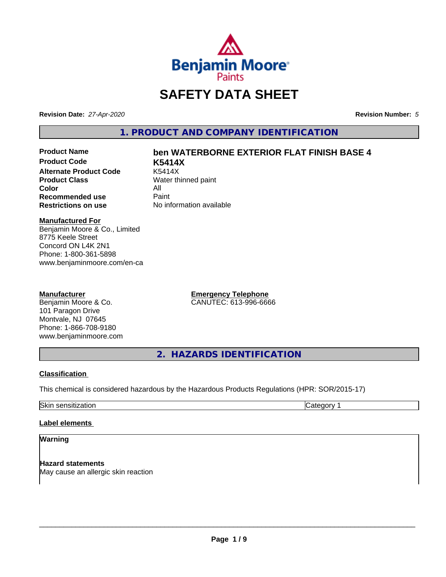

# **SAFETY DATA SHEET**

**Revision Date:** *27-Apr-2020* **Revision Number:** *5*

**1. PRODUCT AND COMPANY IDENTIFICATION**

**Product Code K5414X Alternate Product Code**<br>Product Class **Color** All<br> **Recommended use** Paint **Recommended use**<br>Restrictions on use

# **Product Name ben WATERBORNE EXTERIOR FLAT FINISH BASE 4**

**Water thinned paint No information available** 

#### **Manufactured For**

Benjamin Moore & Co., Limited 8775 Keele Street Concord ON L4K 2N1 Phone: 1-800-361-5898 www.benjaminmoore.com/en-ca

## **Manufacturer**

Benjamin Moore & Co. 101 Paragon Drive Montvale, NJ 07645 Phone: 1-866-708-9180 www.benjaminmoore.com **Emergency Telephone** CANUTEC: 613-996-6666

**2. HAZARDS IDENTIFICATION**

## **Classification**

This chemical is considered hazardous by the Hazardous Products Regulations (HPR: SOR/2015-17)

Skin sensitization **Category 1 Category 1** 

## **Label elements**

### **Warning**

**Hazard statements** May cause an allergic skin reaction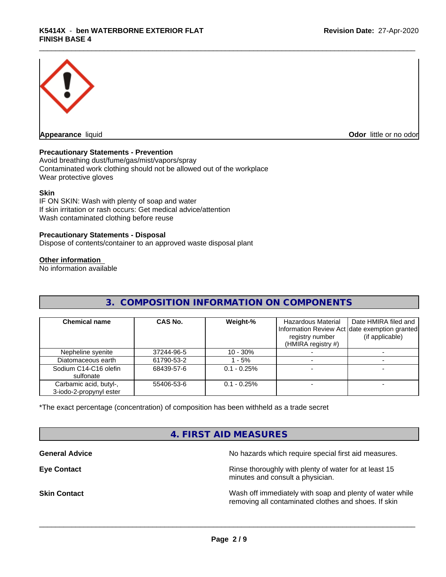

**Appearance** liquid **CODO** *Appearance liquid* **Odor** *CODO CODO* **<b>***CODO CODO CODO CODO CODO* 

### **Precautionary Statements - Prevention**

Avoid breathing dust/fume/gas/mist/vapors/spray Contaminated work clothing should not be allowed out of the workplace Wear protective gloves

#### **Skin**

IF ON SKIN: Wash with plenty of soap and water If skin irritation or rash occurs: Get medical advice/attention Wash contaminated clothing before reuse

#### **Precautionary Statements - Disposal**

Dispose of contents/container to an approved waste disposal plant

### **Other information**

No information available

## **3. COMPOSITION INFORMATION ON COMPONENTS**

| <b>Chemical name</b>                              | CAS No.    | Weight-%       | <b>Hazardous Material</b><br>registry number<br>(HMIRA registry $#$ ) | Date HMIRA filed and<br>Information Review Act date exemption granted<br>(if applicable) |
|---------------------------------------------------|------------|----------------|-----------------------------------------------------------------------|------------------------------------------------------------------------------------------|
| Nepheline syenite                                 | 37244-96-5 | $10 - 30%$     |                                                                       |                                                                                          |
| Diatomaceous earth                                | 61790-53-2 | $-5%$          |                                                                       |                                                                                          |
| Sodium C14-C16 olefin<br>sulfonate                | 68439-57-6 | $0.1 - 0.25\%$ |                                                                       |                                                                                          |
| Carbamic acid, butyl-,<br>3-iodo-2-propynyl ester | 55406-53-6 | $0.1 - 0.25\%$ |                                                                       |                                                                                          |

\*The exact percentage (concentration) of composition has been withheld as a trade secret

## **4. FIRST AID MEASURES**

**General Advice** No hazards which require special first aid measures.

**Eye Contact Exercise 2.1 All 2.5 All 2.5 All 2.6 All 2.6 All 2.6 All 2.6 All 2.6 All 2.6 All 2.6 All 2.6 All 2.6 All 2.6 All 2.6 All 2.6 All 2.6 All 2.6 All 2.6 All 2.6 All 2.6 All 2.6 All 2.6 All 2.6 All 2.6 All 2.6 Al** minutes and consult a physician.

**Skin Contact** Mash of immediately with soap and plenty of water while removing all contaminated clothes and shoes. If skin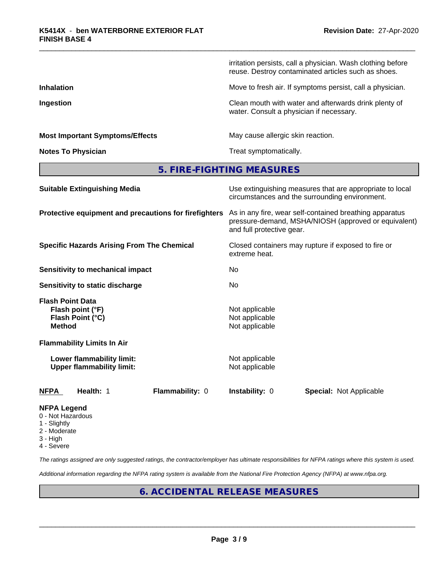irritation persists, call a physician. Wash clothing before reuse. Destroy contaminated articles such as shoes.

**Inhalation** Move to fresh air. If symptoms persist, call a physician.

**Ingestion Ingestion Clean mouth with water and afterwards drink plenty of** water. Consult a physician if necessary.

**Most Important Symptoms/Effects** May cause allergic skin reaction.

**Notes To Physician** Motes To Physician Treat symptomatically.

**5. FIRE-FIGHTING MEASURES**

| <b>Suitable Extinguishing Media</b>                                              | Use extinguishing measures that are appropriate to local<br>circumstances and the surrounding environment.                                   |  |  |  |  |
|----------------------------------------------------------------------------------|----------------------------------------------------------------------------------------------------------------------------------------------|--|--|--|--|
| Protective equipment and precautions for firefighters                            | As in any fire, wear self-contained breathing apparatus<br>pressure-demand, MSHA/NIOSH (approved or equivalent)<br>and full protective gear. |  |  |  |  |
| <b>Specific Hazards Arising From The Chemical</b>                                | Closed containers may rupture if exposed to fire or<br>extreme heat.                                                                         |  |  |  |  |
| Sensitivity to mechanical impact                                                 | No.                                                                                                                                          |  |  |  |  |
| Sensitivity to static discharge                                                  | No.                                                                                                                                          |  |  |  |  |
| <b>Flash Point Data</b><br>Flash point (°F)<br>Flash Point (°C)<br><b>Method</b> | Not applicable<br>Not applicable<br>Not applicable                                                                                           |  |  |  |  |
| <b>Flammability Limits In Air</b>                                                |                                                                                                                                              |  |  |  |  |
| Lower flammability limit:<br><b>Upper flammability limit:</b>                    | Not applicable<br>Not applicable                                                                                                             |  |  |  |  |
| Flammability: 0<br><b>NFPA</b><br>Health: 1                                      | <b>Instability: 0</b><br><b>Special: Not Applicable</b>                                                                                      |  |  |  |  |
| <b>NFPA Legend</b><br>0 - Not Hazardous                                          |                                                                                                                                              |  |  |  |  |

- 1 Slightly
- 2 Moderate
- 3 High
- 4 Severe

*The ratings assigned are only suggested ratings, the contractor/employer has ultimate responsibilities for NFPA ratings where this system is used.*

*Additional information regarding the NFPA rating system is available from the National Fire Protection Agency (NFPA) at www.nfpa.org.*

## **6. ACCIDENTAL RELEASE MEASURES**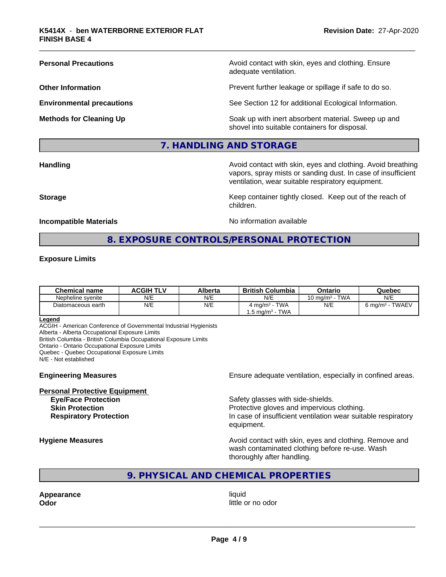**Personal Precautions Avoid contact with skin, eyes and clothing. Ensure** Avoid contact with skin, eyes and clothing. Ensure adequate ventilation.

**Other Information Determined Information Prevent further leakage or spillage if safe to do so.** 

**Environmental precautions** See Section 12 for additional Ecological Information.

**Methods for Cleaning Up Example 20 Soak** up with inert absorbent material. Sweep up and shovel into suitable containers for disposal.

## **7. HANDLING AND STORAGE**

**Handling Handling Avoid contact with skin, eyes and clothing. Avoid breathing Handling Avoid breathing Avoid breathing** vapors, spray mists or sanding dust. In case of insufficient ventilation, wear suitable respiratory equipment.

**Storage Keep container tightly closed. Keep out of the reach of Keep Keep container tightly closed. Keep out of the reach of** 

## **Incompatible Materials Incompatible Materials No information available**

## **8. EXPOSURE CONTROLS/PERSONAL PROTECTION**

children.

### **Exposure Limits**

| <b>Chemical name</b> | <b>ACGIH TLV</b> | Alberta | <b>British Columbia</b>           | Ontario                              | Quebec                         |
|----------------------|------------------|---------|-----------------------------------|--------------------------------------|--------------------------------|
| Nepheline svenite    | N/E              | N/E     | N/E                               | <b>TWA</b><br>10 mg/m <sup>3</sup> - | N/E                            |
| Diatomaceous earth   | N/E              | N/E     | <b>TWA</b><br>4 mg/m <sup>3</sup> | N/E                                  | <b>TWAEV</b><br>ഠ് ma/m $^3\,$ |
|                      |                  |         | <b>TWA</b><br>. .5 ma/mª - ¯      |                                      |                                |

#### **Legend**

ACGIH - American Conference of Governmental Industrial Hygienists Alberta - Alberta Occupational Exposure Limits British Columbia - British Columbia Occupational Exposure Limits Ontario - Ontario Occupational Exposure Limits Quebec - Quebec Occupational Exposure Limits

N/E - Not established

## **Personal Protective Equipment**

**Engineering Measures Ensure adequate ventilation, especially in confined areas.** 

**Eye/Face Protection** Safety glasses with side-shields. **Skin Protection Protection Protective gloves and impervious clothing. Respiratory Protection In case of insufficient ventilation wear suitable respiratory** equipment.

**Hygiene Measures Avoid contact with skin, eyes and clothing. Remove and Avoid contact with skin, eyes and clothing. Remove and Avoid contact with skin, eyes and clothing. Remove and** wash contaminated clothing before re-use. Wash thoroughly after handling.

## **9. PHYSICAL AND CHEMICAL PROPERTIES**

**Appearance** liquid

**Odor** little or no odor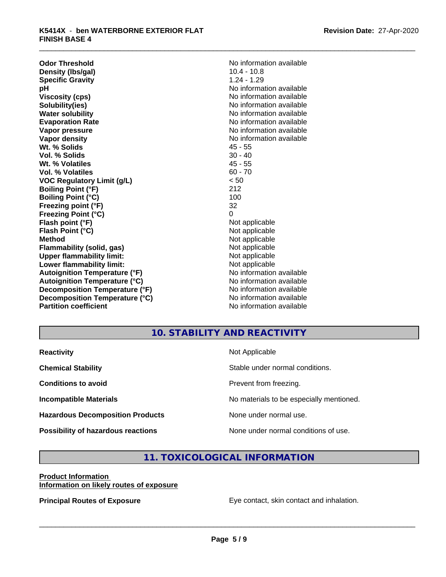**Odor Threshold**<br> **Density (Ibs/gal)**<br> **Density (Ibs/gal)**<br> **No information available**<br>  $10.4 - 10.8$ **Density (Ibs/gal)** 10.4 - 10.8<br> **Specific Gravity** 1.24 - 1.29 **Specific Gravity**<br>pH **Viscosity (cps)** No information available **Solubility(ies)** No information available **Water solubility** No information available **Evaporation Rate No information available No information available Vapor pressure** No information available **No information** available **Vapor density**  $\blacksquare$  No information available **Wt. % Solids** 45 - 55 **Vol. % Solids** 30 - 40 **Wt. % Volatiles** 45 - 55<br> **Vol. % Volatiles** 60 - 70 **Vol. % Volatiles VOC Regulatory Limit (g/L)** < 50 **Boiling Point (°F)** 212 **Boiling Point (°C) Freezing point (°F)** 32 **Freezing Point (°C)** 0 **Flash point (°F)** Not applicable **Flash Point (°C)** Not applicable **Method**<br> **Flammability (solid, gas)**<br> **Example 2018** Not applicable **Flammability** (solid, gas) **Upper flammability limit:**<br> **Lower flammability limit:**<br>
Not applicable<br>
Not applicable **Lower flammability limit:**<br> **Autoignition Temperature (°F)**<br>
Mo information available **Autoignition Temperature (°F) Autoignition Temperature (°C)** No information available **Decomposition Temperature (°F)** No information available **Decomposition Temperature (°C)** No information available **Partition coefficient** and the settlement of the Non-Information available

**No information available** 

## **10. STABILITY AND REACTIVITY**

| <b>Reactivity</b>                         | Not Applicable                           |
|-------------------------------------------|------------------------------------------|
| <b>Chemical Stability</b>                 | Stable under normal conditions.          |
| <b>Conditions to avoid</b>                | Prevent from freezing.                   |
| <b>Incompatible Materials</b>             | No materials to be especially mentioned. |
| <b>Hazardous Decomposition Products</b>   | None under normal use.                   |
| <b>Possibility of hazardous reactions</b> | None under normal conditions of use.     |

## **11. TOXICOLOGICAL INFORMATION**

#### **Product Information Information on likely routes of exposure**

**Principal Routes of Exposure Exposure** Eye contact, skin contact and inhalation.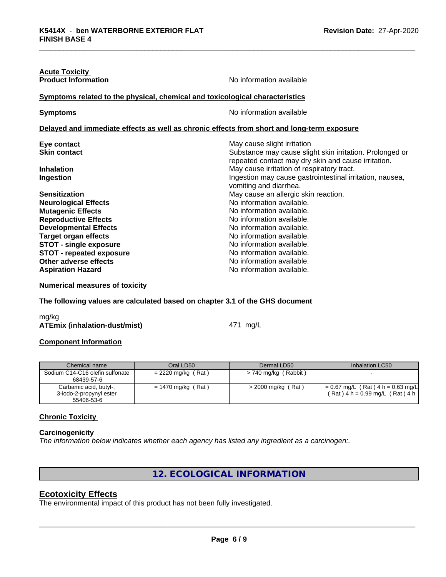| No information available                                                                                        |  |  |  |
|-----------------------------------------------------------------------------------------------------------------|--|--|--|
| Symptoms related to the physical, chemical and toxicological characteristics                                    |  |  |  |
| No information available                                                                                        |  |  |  |
| Delayed and immediate effects as well as chronic effects from short and long-term exposure                      |  |  |  |
| May cause slight irritation                                                                                     |  |  |  |
| Substance may cause slight skin irritation. Prolonged or<br>repeated contact may dry skin and cause irritation. |  |  |  |
| May cause irritation of respiratory tract.                                                                      |  |  |  |
| Ingestion may cause gastrointestinal irritation, nausea,<br>vomiting and diarrhea.                              |  |  |  |
| May cause an allergic skin reaction.                                                                            |  |  |  |
| No information available.                                                                                       |  |  |  |
| No information available.                                                                                       |  |  |  |
| No information available.                                                                                       |  |  |  |
| No information available.                                                                                       |  |  |  |
| No information available.                                                                                       |  |  |  |
| No information available.                                                                                       |  |  |  |
| No information available.                                                                                       |  |  |  |
| No information available.                                                                                       |  |  |  |
| No information available.                                                                                       |  |  |  |
|                                                                                                                 |  |  |  |

**Numerical measures of toxicity**

**The following values are calculated based on chapter 3.1 of the GHS document**

mg/kg **ATEmix (inhalation-dust/mist)** 471 mg/L

#### **Component Information**

| Chemical name                                                   | Oral LD50            | Dermal LD50            | Inhalation LC50                                                            |
|-----------------------------------------------------------------|----------------------|------------------------|----------------------------------------------------------------------------|
| Sodium C14-C16 olefin sulfonate<br>68439-57-6                   | $= 2220$ mg/kg (Rat) | $> 740$ mg/kg (Rabbit) |                                                                            |
| Carbamic acid, butyl-,<br>3-iodo-2-propynyl ester<br>55406-53-6 | $= 1470$ mg/kg (Rat) | > 2000 mg/kg (Rat)     | $= 0.67$ mg/L (Rat) 4 h = 0.63 mg/L<br>$(Rat)$ 4 h = 0.99 mg/L $(Rat)$ 4 h |

## **Chronic Toxicity**

#### **Carcinogenicity**

*The information below indicateswhether each agency has listed any ingredient as a carcinogen:.*

## **12. ECOLOGICAL INFORMATION**

## **Ecotoxicity Effects**

The environmental impact of this product has not been fully investigated.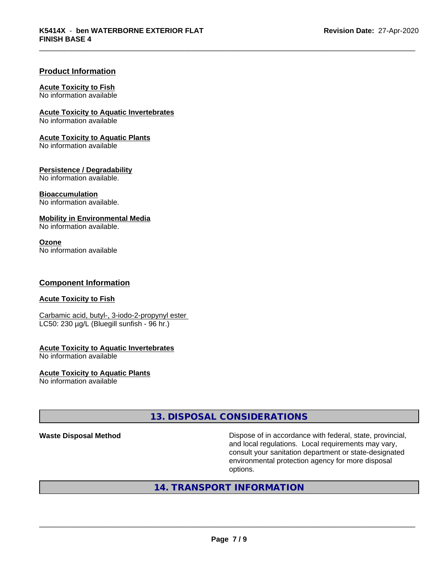### **Product Information**

#### **Acute Toxicity to Fish**

No information available

**Acute Toxicity to Aquatic Invertebrates**

No information available

#### **Acute Toxicity to Aquatic Plants**

No information available

#### **Persistence / Degradability**

No information available.

#### **Bioaccumulation**

No information available.

#### **Mobility in Environmental Media**

No information available.

#### **Ozone**

No information available

### **Component Information**

#### **Acute Toxicity to Fish**

Carbamic acid, butyl-, 3-iodo-2-propynyl ester LC50: 230 µg/L (Bluegill sunfish - 96 hr.)

## **Acute Toxicity to Aquatic Invertebrates**

No information available

## **Acute Toxicity to Aquatic Plants**

No information available

## **13. DISPOSAL CONSIDERATIONS**

**Waste Disposal Method Dispose of in accordance with federal, state, provincial,** and local regulations. Local requirements may vary, consult your sanitation department or state-designated environmental protection agency for more disposal options.

## **14. TRANSPORT INFORMATION**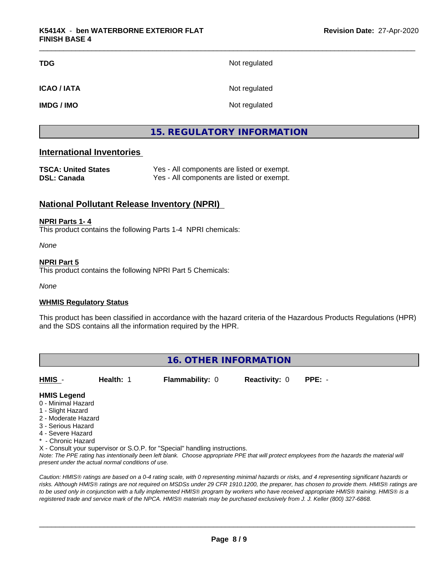| TDG         | Not regulated |
|-------------|---------------|
| ICAO / IATA | Not regulated |
| IMDG / IMO  | Not regulated |

## **15. REGULATORY INFORMATION**

## **International Inventories**

| <b>TSCA: United States</b> | Yes - All components are listed or exempt. |
|----------------------------|--------------------------------------------|
| DSL: Canada                | Yes - All components are listed or exempt. |

## **National Pollutant Release Inventory (NPRI)**

#### **NPRI Parts 1- 4**

This product contains the following Parts 1-4 NPRI chemicals:

*None*

#### **NPRI Part 5**

This product contains the following NPRI Part 5 Chemicals:

*None*

#### **WHMIS Regulatory Status**

This product has been classified in accordance with the hazard criteria of the Hazardous Products Regulations (HPR) and the SDS contains all the information required by the HPR.

| <b>16. OTHER INFORMATION</b> |           |                        |                             |  |  |
|------------------------------|-----------|------------------------|-----------------------------|--|--|
| <b>HMIS</b>                  | Health: 1 | <b>Flammability: 0</b> | <b>Reactivity: 0 PPE: -</b> |  |  |

#### **HMIS Legend**

- 0 Minimal Hazard
- 1 Slight Hazard
- 2 Moderate Hazard
- 3 Serious Hazard
- 4 Severe Hazard
- \* Chronic Hazard
- X Consult your supervisor or S.O.P. for "Special" handling instructions.

*Note: The PPE rating has intentionally been left blank. Choose appropriate PPE that will protect employees from the hazards the material will present under the actual normal conditions of use.*

*Caution: HMISÒ ratings are based on a 0-4 rating scale, with 0 representing minimal hazards or risks, and 4 representing significant hazards or risks. Although HMISÒ ratings are not required on MSDSs under 29 CFR 1910.1200, the preparer, has chosen to provide them. HMISÒ ratings are to be used only in conjunction with a fully implemented HMISÒ program by workers who have received appropriate HMISÒ training. HMISÒ is a registered trade and service mark of the NPCA. HMISÒ materials may be purchased exclusively from J. J. Keller (800) 327-6868.*